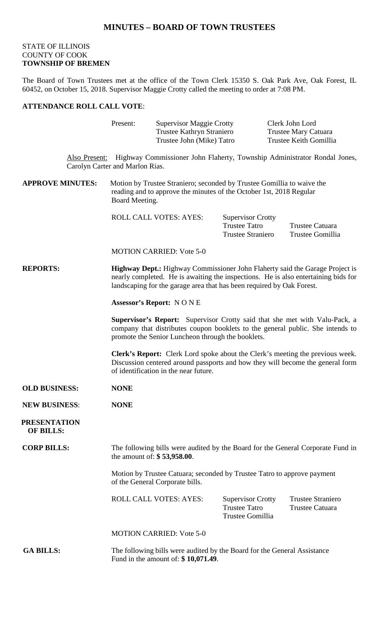## **MINUTES – BOARD OF TOWN TRUSTEES**

## STATE OF ILLINOIS COUNTY OF COOK **TOWNSHIP OF BREMEN**

The Board of Town Trustees met at the office of the Town Clerk 15350 S. Oak Park Ave, Oak Forest, IL 60452, on October 15, 2018. Supervisor Maggie Crotty called the meeting to order at 7:08 PM.

## **ATTENDANCE ROLL CALL VOTE**:

|                                         | Present:                                                                                                                                                                                                                                           | <b>Supervisor Maggie Crotty</b><br>Trustee Kathryn Straniero<br>Trustee John (Mike) Tatro |                                                                              | Clerk John Lord<br>Trustee Mary Catuara<br>Trustee Keith Gomillia                      |  |
|-----------------------------------------|----------------------------------------------------------------------------------------------------------------------------------------------------------------------------------------------------------------------------------------------------|-------------------------------------------------------------------------------------------|------------------------------------------------------------------------------|----------------------------------------------------------------------------------------|--|
|                                         | Carolyn Carter and Marlon Rias.                                                                                                                                                                                                                    |                                                                                           |                                                                              | Also Present: Highway Commissioner John Flaherty, Township Administrator Rondal Jones, |  |
| <b>APPROVE MINUTES:</b>                 | Motion by Trustee Straniero; seconded by Trustee Gomillia to waive the<br>reading and to approve the minutes of the October 1st, 2018 Regular<br>Board Meeting.                                                                                    |                                                                                           |                                                                              |                                                                                        |  |
|                                         |                                                                                                                                                                                                                                                    | ROLL CALL VOTES: AYES:                                                                    | <b>Supervisor Crotty</b><br><b>Trustee Tatro</b><br><b>Trustee Straniero</b> | Trustee Catuara<br>Trustee Gomillia                                                    |  |
|                                         |                                                                                                                                                                                                                                                    | <b>MOTION CARRIED: Vote 5-0</b>                                                           |                                                                              |                                                                                        |  |
| <b>REPORTS:</b>                         | <b>Highway Dept.:</b> Highway Commissioner John Flaherty said the Garage Project is<br>nearly completed. He is awaiting the inspections. He is also entertaining bids for<br>landscaping for the garage area that has been required by Oak Forest. |                                                                                           |                                                                              |                                                                                        |  |
|                                         | <b>Assessor's Report: NONE</b>                                                                                                                                                                                                                     |                                                                                           |                                                                              |                                                                                        |  |
|                                         | Supervisor's Report: Supervisor Crotty said that she met with Valu-Pack, a<br>company that distributes coupon booklets to the general public. She intends to<br>promote the Senior Luncheon through the booklets.                                  |                                                                                           |                                                                              |                                                                                        |  |
|                                         | <b>Clerk's Report:</b> Clerk Lord spoke about the Clerk's meeting the previous week.<br>Discussion centered around passports and how they will become the general form<br>of identification in the near future.                                    |                                                                                           |                                                                              |                                                                                        |  |
| <b>OLD BUSINESS:</b>                    | <b>NONE</b>                                                                                                                                                                                                                                        |                                                                                           |                                                                              |                                                                                        |  |
| <b>NEW BUSINESS:</b>                    | <b>NONE</b>                                                                                                                                                                                                                                        |                                                                                           |                                                                              |                                                                                        |  |
| <b>PRESENTATION</b><br><b>OF BILLS:</b> |                                                                                                                                                                                                                                                    |                                                                                           |                                                                              |                                                                                        |  |
| <b>CORP BILLS:</b>                      | The following bills were audited by the Board for the General Corporate Fund in<br>the amount of: $$ 53,958.00$ .                                                                                                                                  |                                                                                           |                                                                              |                                                                                        |  |
|                                         | Motion by Trustee Catuara; seconded by Trustee Tatro to approve payment<br>of the General Corporate bills.                                                                                                                                         |                                                                                           |                                                                              |                                                                                        |  |
|                                         |                                                                                                                                                                                                                                                    | <b>ROLL CALL VOTES: AYES:</b>                                                             | <b>Supervisor Crotty</b><br><b>Trustee Tatro</b><br>Trustee Gomillia         | <b>Trustee Straniero</b><br><b>Trustee Catuara</b>                                     |  |
|                                         |                                                                                                                                                                                                                                                    | <b>MOTION CARRIED: Vote 5-0</b>                                                           |                                                                              |                                                                                        |  |
| <b>GA BILLS:</b>                        | The following bills were audited by the Board for the General Assistance<br>Fund in the amount of: $$10,071.49$ .                                                                                                                                  |                                                                                           |                                                                              |                                                                                        |  |